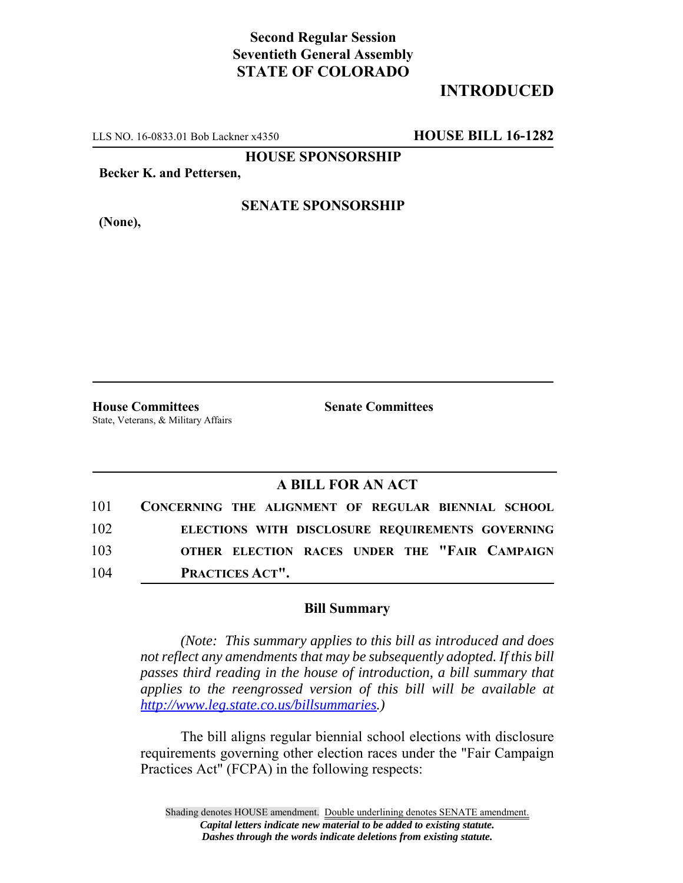# **Second Regular Session Seventieth General Assembly STATE OF COLORADO**

# **INTRODUCED**

LLS NO. 16-0833.01 Bob Lackner x4350 **HOUSE BILL 16-1282**

**HOUSE SPONSORSHIP**

**Becker K. and Pettersen,**

**(None),**

### **SENATE SPONSORSHIP**

**House Committees Senate Committees** State, Veterans, & Military Affairs

### **A BILL FOR AN ACT**

| 101 | CONCERNING THE ALIGNMENT OF REGULAR BIENNIAL SCHOOL |
|-----|-----------------------------------------------------|
| 102 | ELECTIONS WITH DISCLOSURE REQUIREMENTS GOVERNING    |
| 103 | OTHER ELECTION RACES UNDER THE "FAIR CAMPAIGN       |
| 104 | PRACTICES ACT".                                     |

#### **Bill Summary**

*(Note: This summary applies to this bill as introduced and does not reflect any amendments that may be subsequently adopted. If this bill passes third reading in the house of introduction, a bill summary that applies to the reengrossed version of this bill will be available at http://www.leg.state.co.us/billsummaries.)*

The bill aligns regular biennial school elections with disclosure requirements governing other election races under the "Fair Campaign Practices Act" (FCPA) in the following respects: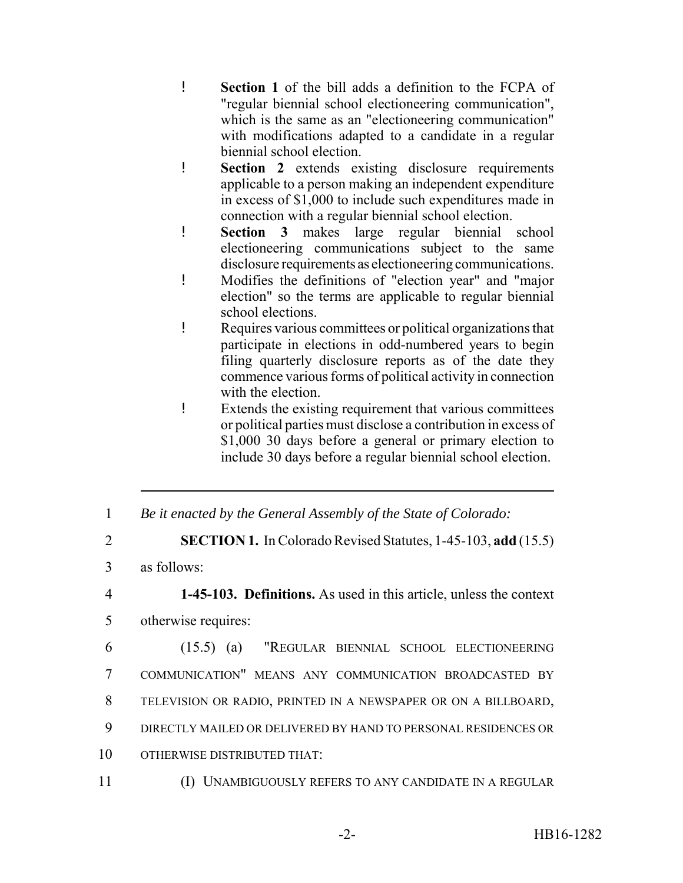- ! **Section 1** of the bill adds a definition to the FCPA of "regular biennial school electioneering communication", which is the same as an "electioneering communication" with modifications adapted to a candidate in a regular biennial school election.
- ! **Section 2** extends existing disclosure requirements applicable to a person making an independent expenditure in excess of \$1,000 to include such expenditures made in connection with a regular biennial school election.
- ! **Section 3** makes large regular biennial school electioneering communications subject to the same disclosure requirements as electioneering communications.
- ! Modifies the definitions of "election year" and "major election" so the terms are applicable to regular biennial school elections.
- ! Requires various committees or political organizations that participate in elections in odd-numbered years to begin filing quarterly disclosure reports as of the date they commence various forms of political activity in connection with the election.
- ! Extends the existing requirement that various committees or political parties must disclose a contribution in excess of \$1,000 30 days before a general or primary election to include 30 days before a regular biennial school election.
- 1 *Be it enacted by the General Assembly of the State of Colorado:*
- 2 **SECTION 1.** In Colorado Revised Statutes, 1-45-103, **add** (15.5)
- 3 as follows:

4 **1-45-103. Definitions.** As used in this article, unless the context 5 otherwise requires:

- 6 (15.5) (a) "REGULAR BIENNIAL SCHOOL ELECTIONEERING 7 COMMUNICATION" MEANS ANY COMMUNICATION BROADCASTED BY
- 8 TELEVISION OR RADIO, PRINTED IN A NEWSPAPER OR ON A BILLBOARD,
- 9 DIRECTLY MAILED OR DELIVERED BY HAND TO PERSONAL RESIDENCES OR
- 10 OTHERWISE DISTRIBUTED THAT:
- 11 (I) UNAMBIGUOUSLY REFERS TO ANY CANDIDATE IN A REGULAR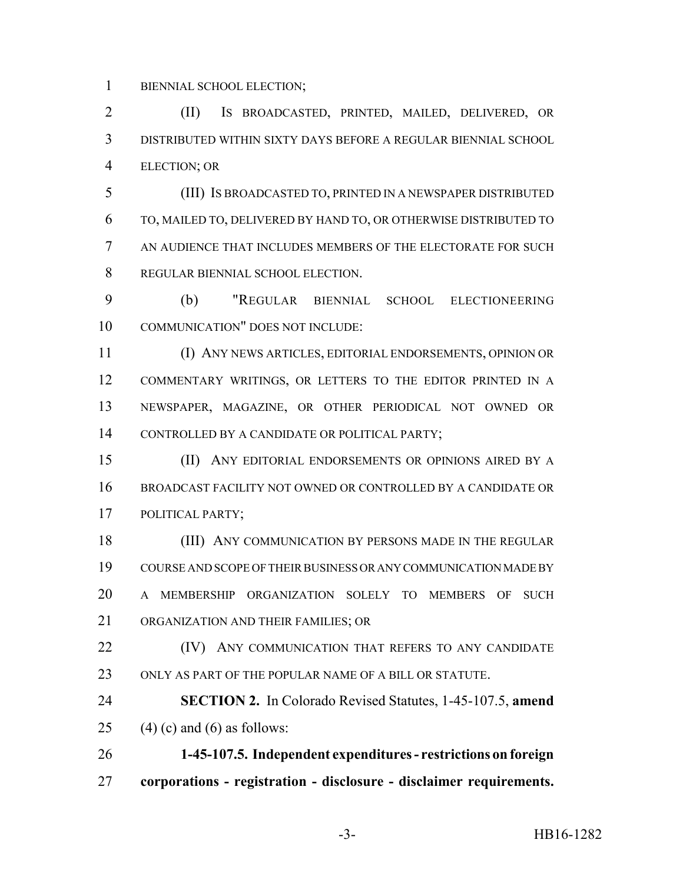BIENNIAL SCHOOL ELECTION;

 (II) IS BROADCASTED, PRINTED, MAILED, DELIVERED, OR DISTRIBUTED WITHIN SIXTY DAYS BEFORE A REGULAR BIENNIAL SCHOOL ELECTION; OR

 (III) IS BROADCASTED TO, PRINTED IN A NEWSPAPER DISTRIBUTED TO, MAILED TO, DELIVERED BY HAND TO, OR OTHERWISE DISTRIBUTED TO AN AUDIENCE THAT INCLUDES MEMBERS OF THE ELECTORATE FOR SUCH REGULAR BIENNIAL SCHOOL ELECTION.

 (b) "REGULAR BIENNIAL SCHOOL ELECTIONEERING COMMUNICATION" DOES NOT INCLUDE:

 (I) ANY NEWS ARTICLES, EDITORIAL ENDORSEMENTS, OPINION OR COMMENTARY WRITINGS, OR LETTERS TO THE EDITOR PRINTED IN A NEWSPAPER, MAGAZINE, OR OTHER PERIODICAL NOT OWNED OR CONTROLLED BY A CANDIDATE OR POLITICAL PARTY;

 (II) ANY EDITORIAL ENDORSEMENTS OR OPINIONS AIRED BY A BROADCAST FACILITY NOT OWNED OR CONTROLLED BY A CANDIDATE OR POLITICAL PARTY;

18 (III) ANY COMMUNICATION BY PERSONS MADE IN THE REGULAR COURSE AND SCOPE OF THEIR BUSINESS OR ANY COMMUNICATION MADE BY A MEMBERSHIP ORGANIZATION SOLELY TO MEMBERS OF SUCH ORGANIZATION AND THEIR FAMILIES; OR

**(IV)** ANY COMMUNICATION THAT REFERS TO ANY CANDIDATE ONLY AS PART OF THE POPULAR NAME OF A BILL OR STATUTE.

 **SECTION 2.** In Colorado Revised Statutes, 1-45-107.5, **amend** 25 (4) (c) and (6) as follows:

 **1-45-107.5. Independent expenditures - restrictions on foreign corporations - registration - disclosure - disclaimer requirements.**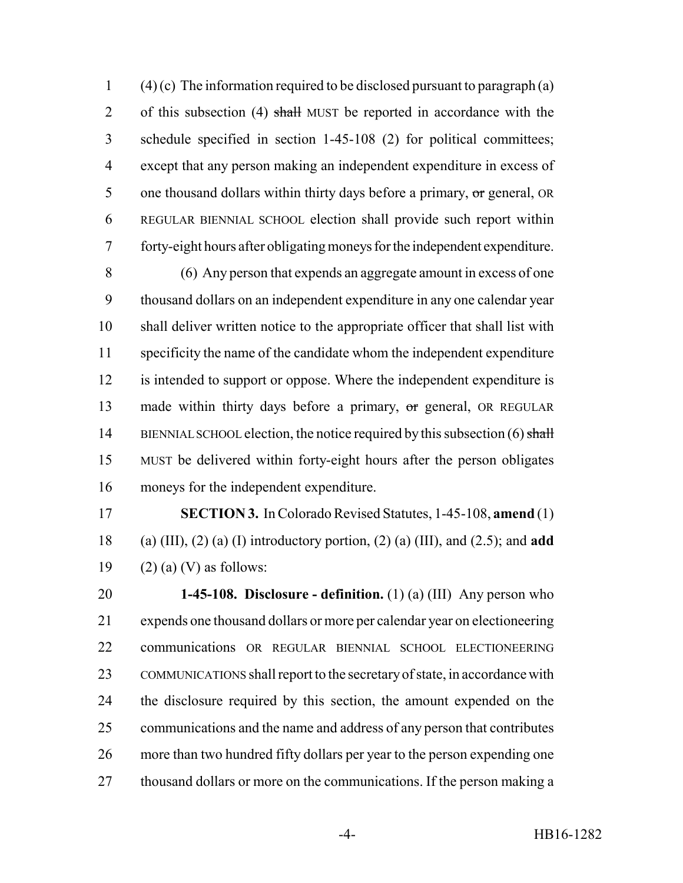1 (4) (c) The information required to be disclosed pursuant to paragraph (a) 2 of this subsection (4) shall MUST be reported in accordance with the schedule specified in section 1-45-108 (2) for political committees; except that any person making an independent expenditure in excess of 5 one thousand dollars within thirty days before a primary, or general, OR REGULAR BIENNIAL SCHOOL election shall provide such report within forty-eight hours after obligating moneys for the independent expenditure.

 (6) Any person that expends an aggregate amount in excess of one thousand dollars on an independent expenditure in any one calendar year shall deliver written notice to the appropriate officer that shall list with specificity the name of the candidate whom the independent expenditure is intended to support or oppose. Where the independent expenditure is 13 made within thirty days before a primary, or general, OR REGULAR 14 BIENNIAL SCHOOL election, the notice required by this subsection (6) shall MUST be delivered within forty-eight hours after the person obligates moneys for the independent expenditure.

 **SECTION 3.** In Colorado Revised Statutes, 1-45-108, **amend** (1) (a) (III), (2) (a) (I) introductory portion, (2) (a) (III), and (2.5); and **add** 19  $(2)$  (a) (V) as follows:

 **1-45-108. Disclosure - definition.** (1) (a) (III) Any person who expends one thousand dollars or more per calendar year on electioneering communications OR REGULAR BIENNIAL SCHOOL ELECTIONEERING COMMUNICATIONS shall report to the secretary of state, in accordance with the disclosure required by this section, the amount expended on the communications and the name and address of any person that contributes more than two hundred fifty dollars per year to the person expending one 27 thousand dollars or more on the communications. If the person making a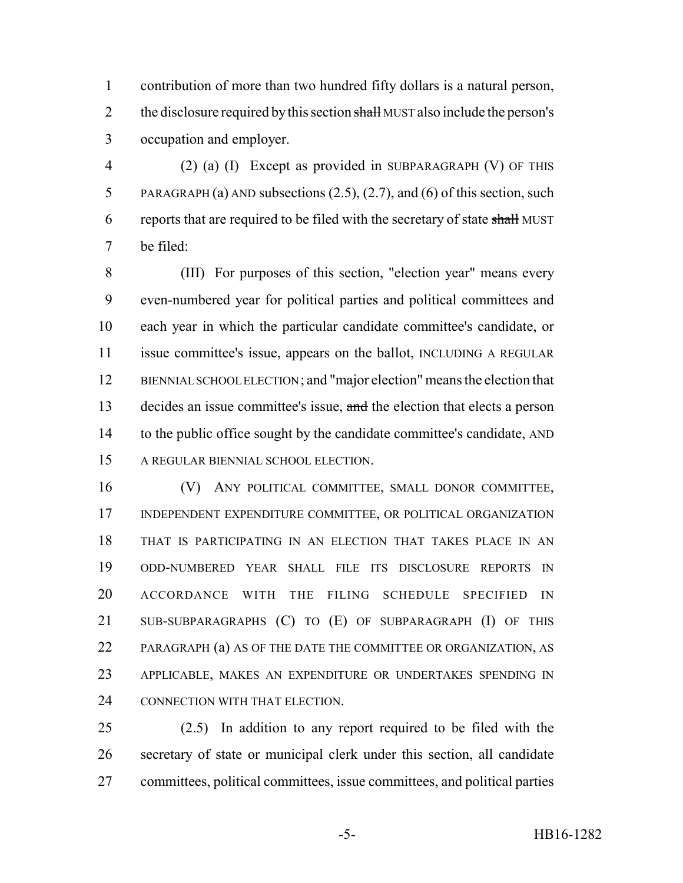contribution of more than two hundred fifty dollars is a natural person, 2 the disclosure required by this section shall MUST also include the person's occupation and employer.

 (2) (a) (I) Except as provided in SUBPARAGRAPH (V) OF THIS PARAGRAPH (a) AND subsections (2.5), (2.7), and (6) of this section, such 6 reports that are required to be filed with the secretary of state shall MUST be filed:

 (III) For purposes of this section, "election year" means every even-numbered year for political parties and political committees and each year in which the particular candidate committee's candidate, or issue committee's issue, appears on the ballot, INCLUDING A REGULAR BIENNIAL SCHOOL ELECTION ; and "major election" means the election that 13 decides an issue committee's issue, and the election that elects a person 14 to the public office sought by the candidate committee's candidate, AND A REGULAR BIENNIAL SCHOOL ELECTION.

 (V) ANY POLITICAL COMMITTEE, SMALL DONOR COMMITTEE, INDEPENDENT EXPENDITURE COMMITTEE, OR POLITICAL ORGANIZATION THAT IS PARTICIPATING IN AN ELECTION THAT TAKES PLACE IN AN ODD-NUMBERED YEAR SHALL FILE ITS DISCLOSURE REPORTS IN ACCORDANCE WITH THE FILING SCHEDULE SPECIFIED IN SUB-SUBPARAGRAPHS (C) TO (E) OF SUBPARAGRAPH (I) OF THIS PARAGRAPH (a) AS OF THE DATE THE COMMITTEE OR ORGANIZATION, AS APPLICABLE, MAKES AN EXPENDITURE OR UNDERTAKES SPENDING IN 24 CONNECTION WITH THAT ELECTION.

 (2.5) In addition to any report required to be filed with the secretary of state or municipal clerk under this section, all candidate committees, political committees, issue committees, and political parties